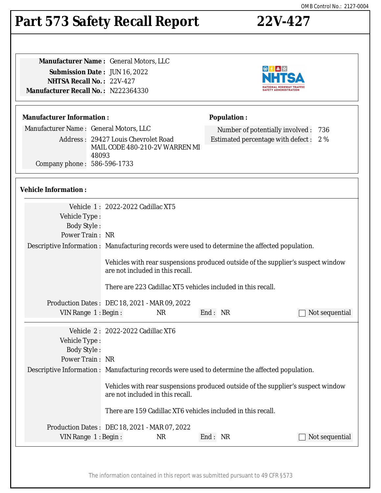#### The information contained in this report was submitted pursuant to 49 CFR §573

**Population :**

# **Part 573 Safety Recall Report 22V-427**

**Manufacturer Name :** General Motors, LLC **Submission Date :** JUN 16, 2022 **NHTSA Recall No. :** 22V-427 **Manufacturer Recall No. :** N222364330

#### **Manufacturer Information :**

Manufacturer Name : General Motors, LLC

Address : 29427 Louis Chevrolet Road MAIL CODE 480-210-2V WARREN MI 48093 Company phone : 586-596-1733

### **Vehicle Information :**

|                                                               | Vehicle 1: 2022-2022 Cadillac XT5                                                                                    |  |  |  |
|---------------------------------------------------------------|----------------------------------------------------------------------------------------------------------------------|--|--|--|
| Vehicle Type:                                                 |                                                                                                                      |  |  |  |
| <b>Body Style:</b>                                            |                                                                                                                      |  |  |  |
| Power Train: NR                                               |                                                                                                                      |  |  |  |
|                                                               | Descriptive Information : Manufacturing records were used to determine the affected population.                      |  |  |  |
|                                                               | Vehicles with rear suspensions produced outside of the supplier's suspect window<br>are not included in this recall. |  |  |  |
|                                                               | There are 223 Cadillac XT5 vehicles included in this recall.                                                         |  |  |  |
|                                                               | Production Dates: DEC 18, 2021 - MAR 09, 2022                                                                        |  |  |  |
| VIN Range 1: Begin:                                           | End: NR<br><b>NR</b><br>Not sequential                                                                               |  |  |  |
|                                                               |                                                                                                                      |  |  |  |
|                                                               | Vehicle 2: 2022-2022 Cadillac XT6                                                                                    |  |  |  |
| Vehicle Type:                                                 |                                                                                                                      |  |  |  |
| <b>Body Style:</b>                                            |                                                                                                                      |  |  |  |
| Power Train: NR                                               |                                                                                                                      |  |  |  |
|                                                               |                                                                                                                      |  |  |  |
|                                                               | Descriptive Information : Manufacturing records were used to determine the affected population.                      |  |  |  |
|                                                               | Vehicles with rear suspensions produced outside of the supplier's suspect window<br>are not included in this recall. |  |  |  |
|                                                               | There are 159 Cadillac XT6 vehicles included in this recall.                                                         |  |  |  |
|                                                               | Production Dates: DEC 18, 2021 - MAR 07, 2022                                                                        |  |  |  |
| End: NR<br><b>NR</b><br>Not sequential<br>VIN Range 1: Begin: |                                                                                                                      |  |  |  |
|                                                               |                                                                                                                      |  |  |  |
|                                                               |                                                                                                                      |  |  |  |



Number of potentially involved : 736 Estimated percentage with defect : 2 %

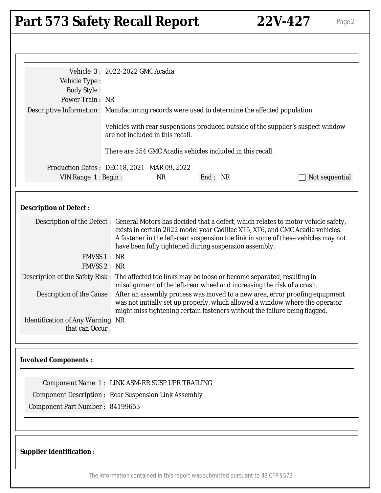# Part 573 Safety Recall Report 22V-427 Page 2

| Vehicle Type:<br><b>Body Style:</b><br>Power Train: NR<br>Descriptive Information : Manufacturing records were used to determine the affected population.                                                  | Vehicle 3: 2022-2022 GMC Acadia<br>are not included in this recall. |           | There are 354 GMC Acadia vehicles included in this recall.                     | Vehicles with rear suspensions produced outside of the supplier's suspect window                                                                                                                                                                                                                                                                                                                                                                                                                                                                                                                                                     |
|------------------------------------------------------------------------------------------------------------------------------------------------------------------------------------------------------------|---------------------------------------------------------------------|-----------|--------------------------------------------------------------------------------|--------------------------------------------------------------------------------------------------------------------------------------------------------------------------------------------------------------------------------------------------------------------------------------------------------------------------------------------------------------------------------------------------------------------------------------------------------------------------------------------------------------------------------------------------------------------------------------------------------------------------------------|
| Production Dates: DEC 18, 2021 - MAR 09, 2022<br>VIN Range 1: Begin:                                                                                                                                       |                                                                     | <b>NR</b> | End: NR                                                                        | Not sequential                                                                                                                                                                                                                                                                                                                                                                                                                                                                                                                                                                                                                       |
| <b>Description of Defect:</b>                                                                                                                                                                              |                                                                     |           |                                                                                |                                                                                                                                                                                                                                                                                                                                                                                                                                                                                                                                                                                                                                      |
| FMVSS 1 : NR<br><b>FMVSS 2: NR</b><br>Description of the Safety Risk : The affected toe links may be loose or become separated, resulting in<br><b>Identification of Any Warning NR</b><br>that can Occur: |                                                                     |           | have been fully tightened during suspension assembly.                          | Description of the Defect: General Motors has decided that a defect, which relates to motor vehicle safety,<br>exists in certain 2022 model year Cadillac XT5, XT6, and GMC Acadia vehicles.<br>A fastener in the left-rear suspension toe link in some of these vehicles may not<br>misalignment of the left-rear wheel and increasing the risk of a crash.<br>Description of the Cause : After an assembly process was moved to a new area, error proofing equipment<br>was not initially set up properly, which allowed a window where the operator<br>might miss tightening certain fasteners without the failure being flagged. |
| <b>Involved Components:</b>                                                                                                                                                                                |                                                                     |           |                                                                                |                                                                                                                                                                                                                                                                                                                                                                                                                                                                                                                                                                                                                                      |
| Component Name 1: LINK ASM-RR SUSP UPR TRAILING<br><b>Component Description: Rear Suspension Link Assembly</b><br>Component Part Number: 84199653                                                          |                                                                     |           |                                                                                |                                                                                                                                                                                                                                                                                                                                                                                                                                                                                                                                                                                                                                      |
| <b>Supplier Identification:</b>                                                                                                                                                                            |                                                                     |           |                                                                                |                                                                                                                                                                                                                                                                                                                                                                                                                                                                                                                                                                                                                                      |
|                                                                                                                                                                                                            |                                                                     |           | The information contained in this report was submitted pursuant to 49 CFR §573 |                                                                                                                                                                                                                                                                                                                                                                                                                                                                                                                                                                                                                                      |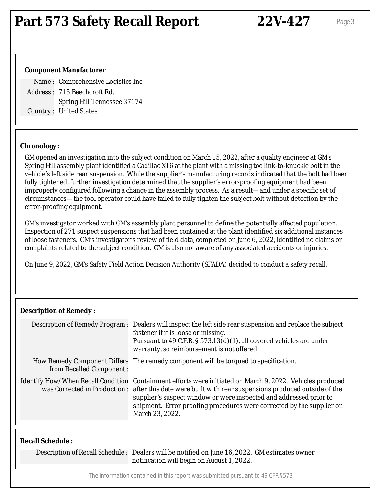#### **Component Manufacturer**

Name : Comprehensive Logistics Inc Address : 715 Beechcroft Rd. Spring Hill Tennessee 37174 Country : United States

#### **Chronology :**

GM opened an investigation into the subject condition on March 15, 2022, after a quality engineer at GM's Spring Hill assembly plant identified a Cadillac XT6 at the plant with a missing toe link-to-knuckle bolt in the vehicle's left side rear suspension. While the supplier's manufacturing records indicated that the bolt had been fully tightened, further investigation determined that the supplier's error-proofing equipment had been improperly configured following a change in the assembly process. As a result—and under a specific set of circumstances—the tool operator could have failed to fully tighten the subject bolt without detection by the error-proofing equipment.

GM's investigator worked with GM's assembly plant personnel to define the potentially affected population. Inspection of 271 suspect suspensions that had been contained at the plant identified six additional instances of loose fasteners. GM's investigator's review of field data, completed on June 6, 2022, identified no claims or complaints related to the subject condition. GM is also not aware of any associated accidents or injuries.

On June 9, 2022, GM's Safety Field Action Decision Authority (SFADA) decided to conduct a safety recall.

#### **Description of Remedy :**

|                          | Description of Remedy Program : Dealers will inspect the left side rear suspension and replace the subject<br>fastener if it is loose or missing.<br>Pursuant to 49 C.F.R. § 573.13(d)(1), all covered vehicles are under<br>warranty, so reimbursement is not offered.                                                                                                              |
|--------------------------|--------------------------------------------------------------------------------------------------------------------------------------------------------------------------------------------------------------------------------------------------------------------------------------------------------------------------------------------------------------------------------------|
| from Recalled Component: | How Remedy Component Differs The remedy component will be torqued to specification.                                                                                                                                                                                                                                                                                                  |
|                          | Identify How/When Recall Condition Containment efforts were initiated on March 9, 2022. Vehicles produced<br>was Corrected in Production: after this date were built with rear suspensions produced outside of the<br>supplier's suspect window or were inspected and addressed prior to<br>shipment. Error proofing procedures were corrected by the supplier on<br>March 23, 2022. |
|                          |                                                                                                                                                                                                                                                                                                                                                                                      |

#### **Recall Schedule :**

Description of Recall Schedule : Dealers will be notified on June 16, 2022. GM estimates owner notification will begin on August 1, 2022.

The information contained in this report was submitted pursuant to 49 CFR §573